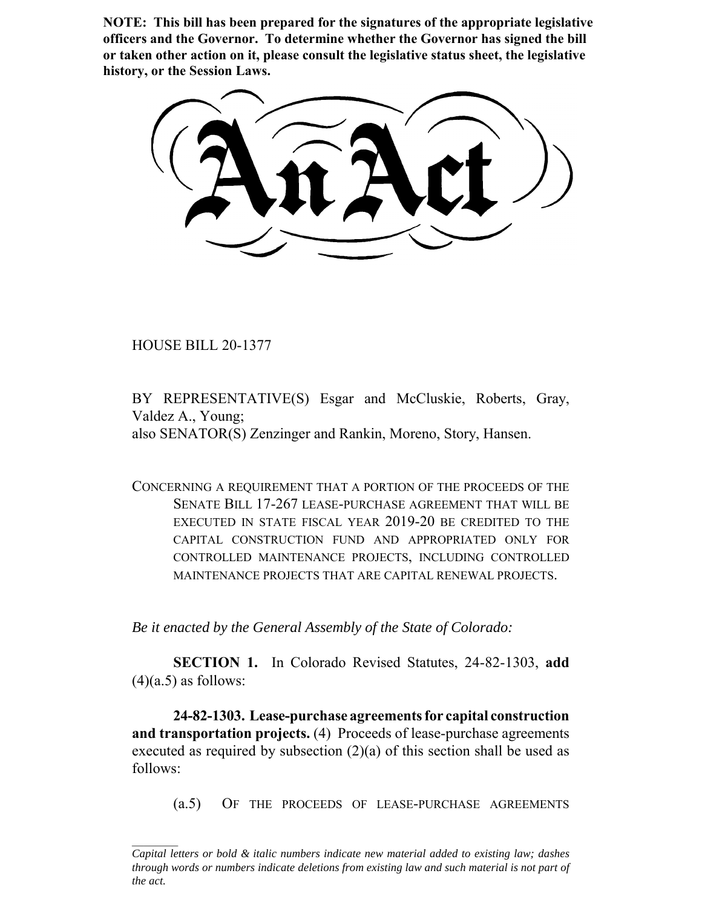**NOTE: This bill has been prepared for the signatures of the appropriate legislative officers and the Governor. To determine whether the Governor has signed the bill or taken other action on it, please consult the legislative status sheet, the legislative history, or the Session Laws.**

HOUSE BILL 20-1377

BY REPRESENTATIVE(S) Esgar and McCluskie, Roberts, Gray, Valdez A., Young; also SENATOR(S) Zenzinger and Rankin, Moreno, Story, Hansen.

CONCERNING A REQUIREMENT THAT A PORTION OF THE PROCEEDS OF THE SENATE BILL 17-267 LEASE-PURCHASE AGREEMENT THAT WILL BE EXECUTED IN STATE FISCAL YEAR 2019-20 BE CREDITED TO THE CAPITAL CONSTRUCTION FUND AND APPROPRIATED ONLY FOR CONTROLLED MAINTENANCE PROJECTS, INCLUDING CONTROLLED MAINTENANCE PROJECTS THAT ARE CAPITAL RENEWAL PROJECTS.

*Be it enacted by the General Assembly of the State of Colorado:*

**SECTION 1.** In Colorado Revised Statutes, 24-82-1303, **add**  $(4)(a.5)$  as follows:

**24-82-1303. Lease-purchase agreements for capital construction and transportation projects.** (4) Proceeds of lease-purchase agreements executed as required by subsection (2)(a) of this section shall be used as follows:

(a.5) OF THE PROCEEDS OF LEASE-PURCHASE AGREEMENTS

*Capital letters or bold & italic numbers indicate new material added to existing law; dashes through words or numbers indicate deletions from existing law and such material is not part of the act.*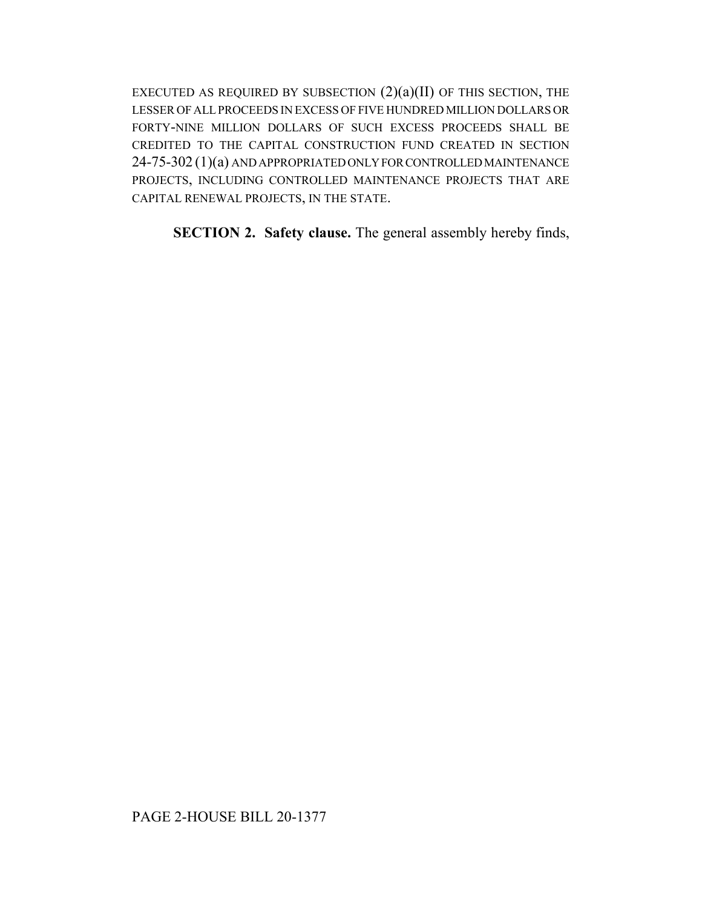EXECUTED AS REQUIRED BY SUBSECTION  $(2)(a)(II)$  OF THIS SECTION, THE LESSER OF ALL PROCEEDS IN EXCESS OF FIVE HUNDRED MILLION DOLLARS OR FORTY-NINE MILLION DOLLARS OF SUCH EXCESS PROCEEDS SHALL BE CREDITED TO THE CAPITAL CONSTRUCTION FUND CREATED IN SECTION 24-75-302 (1)(a) AND APPROPRIATED ONLY FOR CONTROLLED MAINTENANCE PROJECTS, INCLUDING CONTROLLED MAINTENANCE PROJECTS THAT ARE CAPITAL RENEWAL PROJECTS, IN THE STATE.

**SECTION 2. Safety clause.** The general assembly hereby finds,